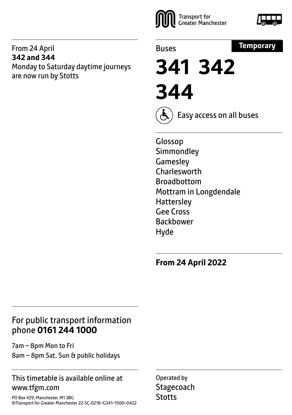#### From 24 April **342 and 344** Monday to Saturday daytime journeys are now run by Stotts





Buses



**341 342 344**



Easy access on all buses

Glossop **Simmondley Gamesley** Charlesworth Broadbottom Mottram in Longdendale **Hattersley** Gee Cross Backbower Hyde

**From 24 April 2022**

### For public transport information phone **0161 244 1000**

7am – 8pm Mon to Fri 8am – 8pm Sat, Sun & public holidays

### This timetable is available online at www.tfgm.com

PO Box 429, Manchester, M1 3BG ©Transport for Greater Manchester 22-SC-0216–G341–1500–0422

Operated by **Stagecoach Stotts**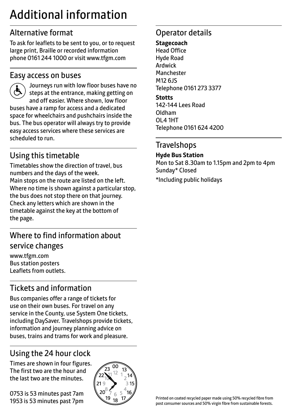# Additional information

# Alternative format

To ask for leaflets to be sent to you, or to request large print, Braille or recorded information phone 0161 244 1000 or visit www.tfgm.com

### Easy access on buses



 Journeys run with low floor buses have no steps at the entrance, making getting on and off easier. Where shown, low floor buses have a ramp for access and a dedicated space for wheelchairs and pushchairs inside the bus. The bus operator will always try to provide easy access services where these services are scheduled to run.

# Using this timetable

Timetables show the direction of travel, bus numbers and the days of the week. Main stops on the route are listed on the left. Where no time is shown against a particular stop, the bus does not stop there on that journey. Check any letters which are shown in the timetable against the key at the bottom of the page.

# Where to find information about service changes

www.tfgm.com Bus station posters Leaflets from outlets.

# Tickets and information

Bus companies offer a range of tickets for use on their own buses. For travel on any service in the County, use System One tickets, including DaySaver. Travelshops provide tickets, information and journey planning advice on buses, trains and trams for work and pleasure.

# Using the 24 hour clock

Times are shown in four figures. The first two are the hour and the last two are the minutes.

0753 is 53 minutes past 7am 1953 is 53 minutes past 7pm



# Operator details

#### **Stagecoach**

Head Office Hyde Road Ardwick **Manchester** M12 6JS Telephone 0161 273 3377

#### **Stotts**

142-144 Lees Road Oldham OL4 1HT Telephone 0161 624 4200

### **Travelshops**

#### **Hyde Bus Station**

Mon to Sat 8.30am to 1.15pm and 2pm to 4pm Sunday\* Closed

\*Including public holidays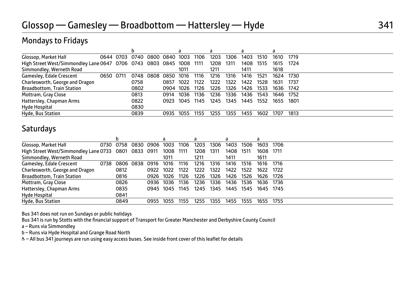# Mondays to Fridays

|                                                                     |           | b    |                               |      | a         |      | a         |           | a    |           |      |           |
|---------------------------------------------------------------------|-----------|------|-------------------------------|------|-----------|------|-----------|-----------|------|-----------|------|-----------|
| Glossop, Market Hall                                                |           |      | 0644 0703 0740 0800 0840 1003 |      |           | 1106 | 1203      | 1306      | 1403 | 1510      | 1610 | 1719      |
| High Street West/Simmondley Lane 0647 0706 0743 0803 0845 1008 1111 |           |      |                               |      |           |      | 1208 1311 |           | 1408 | 1515      | 1615 | 1724      |
| Simmondley, Werneth Road                                            |           |      |                               |      | 1011      |      | 1211      |           | 1411 |           | 1618 |           |
| Gamesley, Edale Crescent                                            | 0650 0711 |      | 0748 0808 0850                |      | 1016      | 1116 | 1216      | 1316      | 1416 | 1521      | 1624 | 1730      |
| Charlesworth, George and Dragon                                     |           | 0758 |                               | 0857 | 1022      | 1122 | 1222      | 1322      | 1422 | 1528      | 1631 | 1737      |
| <b>Broadbottom, Train Station</b>                                   |           | 0802 |                               |      | 0904 1026 | 1126 | 1226      | 1326      | 1426 | 1533      | 1636 | 1742      |
| Mottram, Gray Close                                                 |           | 0813 |                               | 0914 | 1036      | 1136 | 1236      | 1336      | 1436 | 1543      |      | 1646 1752 |
| Hattersley, Chapman Arms                                            |           | 0822 |                               | 0923 | 1045 1145 |      |           | 1245 1345 |      | 1445 1552 | 1655 | 1801      |
| Hyde Hospital                                                       |           | 0830 |                               |      |           |      |           |           |      |           |      |           |
| Hyde, Bus Station                                                   |           | 0839 |                               | 0935 | 1055      | 1155 | 1255      | 1355      | 1455 | 1602      | 1707 | 1813      |

### **Saturdays**

|                                                      |      |           |           |      |           |      | а    |        | a    |      |                     |      |
|------------------------------------------------------|------|-----------|-----------|------|-----------|------|------|--------|------|------|---------------------|------|
| Glossop, Market Hall                                 |      | 0730 0758 | 0830 0906 |      | 1003      | 1106 | 1203 | 1306   | 1403 | 1506 | 1603                | 1706 |
| High Street West/Simmondley Lane 0733 0801 0833 0911 |      |           |           |      | 1008 1111 |      | 1208 | - 1311 | 1408 | 1511 | 1608                | 1711 |
| Simmondley, Werneth Road                             |      |           |           |      | 1011      |      | 1211 |        | 1411 |      | 1611                |      |
| Gamesley, Edale Crescent                             | 0738 |           | 0806 0838 | 0916 | 1016      | 1116 | 1216 | 1316   | 1416 | 1516 | 1616                | 1716 |
| Charlesworth, George and Dragon                      |      | 0812      |           | 0922 | 1022      | 1122 | 1222 | 1322   | 1422 | 1522 | 1622                | 1722 |
| <b>Broadbottom, Train Station</b>                    |      | 0816      |           | 0926 | 1026      | 1126 | 1226 | 1326   | 1426 | 1526 | 1626                | 1726 |
| Mottram, Gray Close                                  |      | 0826      |           | 0936 | 1036      | 1136 | 1236 | 1336   | 1436 | 1536 | 1636                | 1736 |
| Hattersley, Chapman Arms                             |      | 0835      |           |      | 0945 1045 | 1145 | 1245 | 1345   |      |      | 1445 1545 1645 1745 |      |
| Hyde Hospital                                        |      | 0841      |           |      |           |      |      |        |      |      |                     |      |
| Hyde, Bus Station                                    |      | 0849      |           | 0955 | 1055      | 1155 | 1255 | 1355   | 1455 | 1555 | 1655                | 1755 |

Bus 341 does not run on Sundays or public holidays

Bus 341 is run by Stotts with the financial support of Transport for Greater Manchester and Derbyshire County Council

a – Runs via Simmondley

b – Runs via Hyde Hospital and Grange Road North

W– All bus 341 journeys are run using easy access buses. See inside front cover of this leaflet for details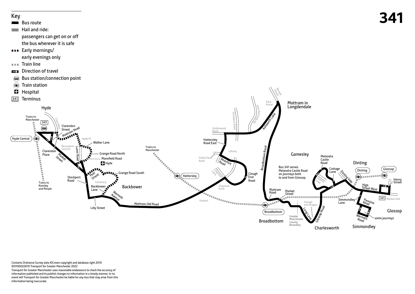

Contains Ordnance Survey data ©Crown copyright and database right 2010 ©0100022610 Transport for Greater Manchester 2022 Transport for Greater Manchester uses reasonable endeavours to check the accuracy of information published and to publish changes to information in a timely manner. In no event will Transport for Greater Manchester be liable for any loss that may arise from this information being inaccurate.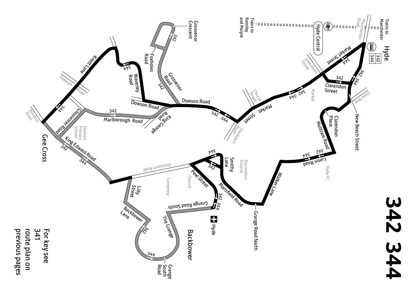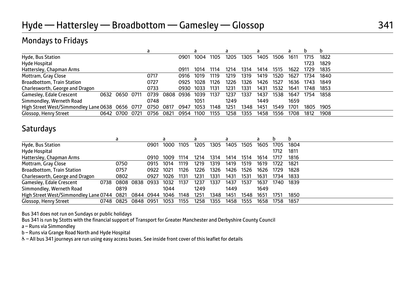# Mondays to Fridays

|                                                           |              |      |      |      |               |      |      |      |      |      | h         |
|-----------------------------------------------------------|--------------|------|------|------|---------------|------|------|------|------|------|-----------|
| Hyde, Bus Station                                         |              | 0901 | 1004 | 1105 | 1205          | 1305 | 1405 | 1506 | 1611 | 1715 | 1822      |
| Hyde Hospital                                             |              |      |      |      |               |      |      |      |      | 1723 | 1829      |
| Hattersley, Chapman Arms                                  |              | 0911 | 1014 | 1114 | 1214          | 1314 | 1414 | 1515 | 1622 | 1729 | 1835      |
| Mottram, Gray Close                                       | 0717         | 0916 | 1019 | 1119 | 1219          | 1319 | 1419 | 1520 | 1627 | 1734 | 1840      |
| <b>Broadbottom, Train Station</b>                         | 0727         | 0925 | 1028 | 1126 | 1226          | 1326 | 1426 | 1527 | 1636 | 1743 | 1849      |
| Charlesworth, George and Dragon                           | 0733         | 0930 | 1033 | 1131 | 1231          | 1331 | 1431 | 1532 | 1641 | 1748 | 1853      |
| Gamesley, Edale Crescent<br>0632 0650 0711                | 0808<br>0739 | 0936 | 1039 | 1137 | 1237          | 1337 | 1437 | 1538 | 1647 | 1754 | 1858      |
| Simmondley, Werneth Road                                  | 0748         |      | 1051 |      | 1249          |      | 1449 |      | 1659 |      |           |
| High Street West/Simmondley Lane 0638 0656 0717 0750 0817 |              | 0947 | 1053 | 1148 | $125^{\circ}$ | 1348 | 1451 | 1549 | 1701 |      | 1805 1905 |
| Glossop, Henry Street<br>0642 0700 0721                   | 0821<br>0756 | 0954 | 1100 | 1155 | 1258          | 1355 | 1458 | 1556 | 1708 | 1812 | 1908      |

### **Saturdays**

|                                            |           |           |                |      |      |      |      | a    |      |      |      |      |
|--------------------------------------------|-----------|-----------|----------------|------|------|------|------|------|------|------|------|------|
| Hyde, Bus Station                          |           |           | 0901           | 1000 | 1105 | 1205 | 1305 | 1405 | 1505 | 1605 | 1705 | 1804 |
| Hyde Hospital                              |           |           |                |      |      |      |      |      |      |      | 1712 | 1811 |
| Hattersley, Chapman Arms                   |           |           | 0910           | 1009 | 1114 | 1214 | 1314 | 1414 | 1514 | 1614 | 1717 | 1816 |
| Mottram, Gray Close                        | 0750      |           | 0915           | 1014 | 1119 | 1219 | 1319 | 1419 | 1519 | 1619 | 1722 | 1821 |
| <b>Broadbottom, Train Station</b>          | 0757      |           | 0922           | 1021 | 1126 | 1226 | 1326 | 1426 | 1526 | 1626 | 1729 | 1828 |
| Charlesworth, George and Dragon            | 0802      |           | 0927           | 1026 | 1131 | 1231 | 1331 | 1431 | 1531 | 1631 | 1734 | 1833 |
| Gamesley, Edale Crescent<br>0738           |           | 0808 0838 | 0933           | 1032 | 1137 | 1237 | 1337 | 1437 | 1537 | 1637 | 1740 | 1839 |
| Simmondley, Werneth Road                   | 0819      |           |                | 1044 |      | 1249 |      | 1449 |      | 1649 |      |      |
| High Street West/Simmondley Lane 0744 0821 |           |           | 0844 0944 1046 |      | 1148 | 1251 | 1348 | 1451 | 1548 | 1651 | 1751 | 1850 |
| Glossop, Henry Street                      | 0748 0825 | 0848      | 0951           | 1053 | 1155 | 1258 | 1355 | 1458 | 1555 | 1658 | 1758 | 1857 |

Bus 341 does not run on Sundays or public holidays

Bus 341 is run by Stotts with the financial support of Transport for Greater Manchester and Derbyshire County Council

a – Runs via Simmondley

b – Runs via Grange Road North and Hyde Hospital

W– All bus 341 journeys are run using easy access buses. See inside front cover of this leaflet for details